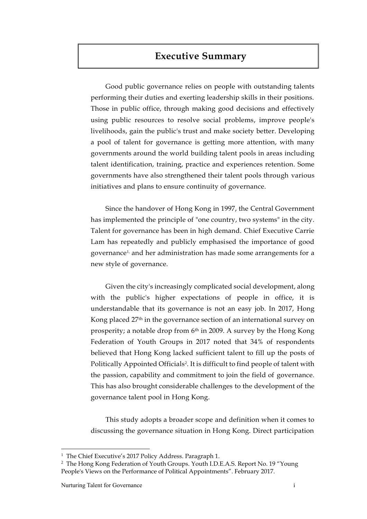# **Executive Summary**

Good public governance relies on people with outstanding talents performing their duties and exerting leadership skills in their positions. Those in public office, through making good decisions and effectively using public resources to resolve social problems, improve people's livelihoods, gain the public's trust and make society better. Developing a pool of talent for governance is getting more attention, with many governments around the world building talent pools in areas including talent identification, training, practice and experiences retention. Some governments have also strengthened their talent pools through various initiatives and plans to ensure continuity of governance.

Since the handover of Hong Kong in 1997, the Central Government has implemented the principle of "one country, two systems" in the city. Talent for governance has been in high demand. Chief Executive Carrie Lam has repeatedly and publicly emphasised the importance of good governance1, and her administration has made some arrangements for a new style of governance.

Given the city's increasingly complicated social development, along with the public's higher expectations of people in office, it is understandable that its governance is not an easy job. In 2017, Hong Kong placed 27th in the governance section of an international survey on prosperity; a notable drop from 6<sup>th</sup> in 2009. A survey by the Hong Kong Federation of Youth Groups in 2017 noted that 34% of respondents believed that Hong Kong lacked sufficient talent to fill up the posts of Politically Appointed Officials<sup>2</sup>. It is difficult to find people of talent with the passion, capability and commitment to join the field of governance. This has also brought considerable challenges to the development of the governance talent pool in Hong Kong.

This study adopts a broader scope and definition when it comes to discussing the governance situation in Hong Kong. Direct participation

 $\overline{a}$ 

<sup>&</sup>lt;sup>1</sup> The Chief Executive's 2017 Policy Address. Paragraph 1.

<sup>2</sup> The Hong Kong Federation of Youth Groups. Youth I.D.E.A.S. Report No. 19 "Young People's Views on the Performance of Political Appointments". February 2017.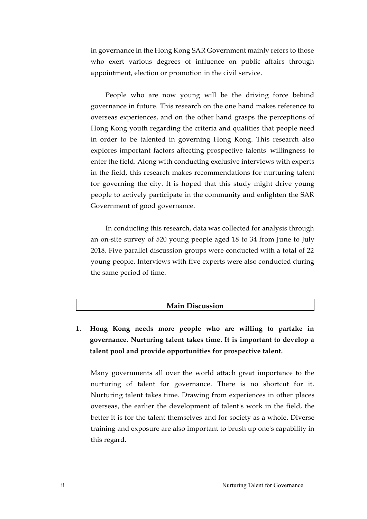in governance in the Hong Kong SAR Government mainly refers to those who exert various degrees of influence on public affairs through appointment, election or promotion in the civil service.

People who are now young will be the driving force behind governance in future. This research on the one hand makes reference to overseas experiences, and on the other hand grasps the perceptions of Hong Kong youth regarding the criteria and qualities that people need in order to be talented in governing Hong Kong. This research also explores important factors affecting prospective talents' willingness to enter the field. Along with conducting exclusive interviews with experts in the field, this research makes recommendations for nurturing talent for governing the city. It is hoped that this study might drive young people to actively participate in the community and enlighten the SAR Government of good governance.

In conducting this research, data was collected for analysis through an on-site survey of 520 young people aged 18 to 34 from June to July 2018. Five parallel discussion groups were conducted with a total of 22 young people. Interviews with five experts were also conducted during the same period of time.

### **Main Discussion**

**1. Hong Kong needs more people who are willing to partake in governance. Nurturing talent takes time. It is important to develop a talent pool and provide opportunities for prospective talent.** 

Many governments all over the world attach great importance to the nurturing of talent for governance. There is no shortcut for it. Nurturing talent takes time. Drawing from experiences in other places overseas, the earlier the development of talent's work in the field, the better it is for the talent themselves and for society as a whole. Diverse training and exposure are also important to brush up one's capability in this regard.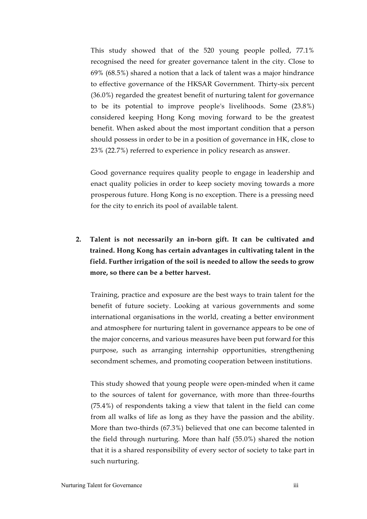This study showed that of the 520 young people polled, 77.1% recognised the need for greater governance talent in the city. Close to 69% (68.5%) shared a notion that a lack of talent was a major hindrance to effective governance of the HKSAR Government. Thirty-six percent (36.0%) regarded the greatest benefit of nurturing talent for governance to be its potential to improve people's livelihoods. Some (23.8%) considered keeping Hong Kong moving forward to be the greatest benefit. When asked about the most important condition that a person should possess in order to be in a position of governance in HK, close to 23% (22.7%) referred to experience in policy research as answer.

Good governance requires quality people to engage in leadership and enact quality policies in order to keep society moving towards a more prosperous future. Hong Kong is no exception. There is a pressing need for the city to enrich its pool of available talent.

**2. Talent is not necessarily an in-born gift. It can be cultivated and trained. Hong Kong has certain advantages in cultivating talent in the field. Further irrigation of the soil is needed to allow the seeds to grow more, so there can be a better harvest.**

Training, practice and exposure are the best ways to train talent for the benefit of future society. Looking at various governments and some international organisations in the world, creating a better environment and atmosphere for nurturing talent in governance appears to be one of the major concerns, and various measures have been put forward for this purpose, such as arranging internship opportunities, strengthening secondment schemes, and promoting cooperation between institutions.

This study showed that young people were open-minded when it came to the sources of talent for governance, with more than three-fourths (75.4%) of respondents taking a view that talent in the field can come from all walks of life as long as they have the passion and the ability. More than two-thirds (67.3%) believed that one can become talented in the field through nurturing. More than half (55.0%) shared the notion that it is a shared responsibility of every sector of society to take part in such nurturing.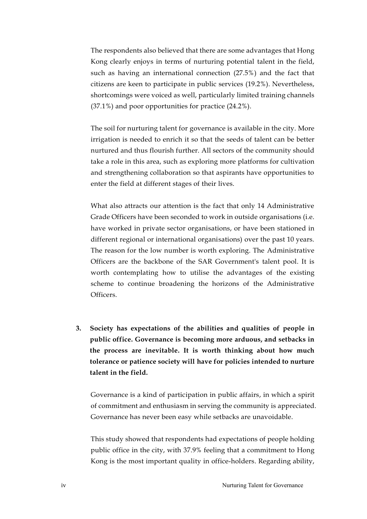The respondents also believed that there are some advantages that Hong Kong clearly enjoys in terms of nurturing potential talent in the field, such as having an international connection (27.5%) and the fact that citizens are keen to participate in public services (19.2%). Nevertheless, shortcomings were voiced as well, particularly limited training channels (37.1%) and poor opportunities for practice (24.2%).

The soil for nurturing talent for governance is available in the city. More irrigation is needed to enrich it so that the seeds of talent can be better nurtured and thus flourish further. All sectors of the community should take a role in this area, such as exploring more platforms for cultivation and strengthening collaboration so that aspirants have opportunities to enter the field at different stages of their lives.

What also attracts our attention is the fact that only 14 Administrative Grade Officers have been seconded to work in outside organisations (i.e. have worked in private sector organisations, or have been stationed in different regional or international organisations) over the past 10 years. The reason for the low number is worth exploring. The Administrative Officers are the backbone of the SAR Government's talent pool. It is worth contemplating how to utilise the advantages of the existing scheme to continue broadening the horizons of the Administrative Officers.

**3. Society has expectations of the abilities and qualities of people in public office. Governance is becoming more arduous, and setbacks in the process are inevitable. It is worth thinking about how much tolerance or patience society will have for policies intended to nurture talent in the field.**

Governance is a kind of participation in public affairs, in which a spirit of commitment and enthusiasm in serving the community is appreciated. Governance has never been easy while setbacks are unavoidable.

This study showed that respondents had expectations of people holding public office in the city, with 37.9% feeling that a commitment to Hong Kong is the most important quality in office-holders. Regarding ability,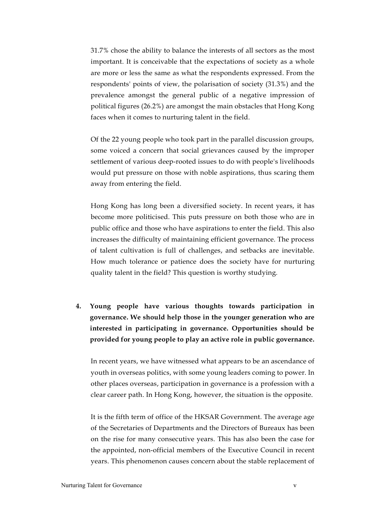31.7% chose the ability to balance the interests of all sectors as the most important. It is conceivable that the expectations of society as a whole are more or less the same as what the respondents expressed. From the respondents' points of view, the polarisation of society (31.3%) and the prevalence amongst the general public of a negative impression of political figures (26.2%) are amongst the main obstacles that Hong Kong faces when it comes to nurturing talent in the field.

Of the 22 young people who took part in the parallel discussion groups, some voiced a concern that social grievances caused by the improper settlement of various deep-rooted issues to do with people's livelihoods would put pressure on those with noble aspirations, thus scaring them away from entering the field.

Hong Kong has long been a diversified society. In recent years, it has become more politicised. This puts pressure on both those who are in public office and those who have aspirations to enter the field. This also increases the difficulty of maintaining efficient governance. The process of talent cultivation is full of challenges, and setbacks are inevitable. How much tolerance or patience does the society have for nurturing quality talent in the field? This question is worthy studying.

**4. Young people have various thoughts towards participation in governance. We should help those in the younger generation who are interested in participating in governance. Opportunities should be provided for young people to play an active role in public governance.** 

In recent years, we have witnessed what appears to be an ascendance of youth in overseas politics, with some young leaders coming to power. In other places overseas, participation in governance is a profession with a clear career path. In Hong Kong, however, the situation is the opposite.

It is the fifth term of office of the HKSAR Government. The average age of the Secretaries of Departments and the Directors of Bureaux has been on the rise for many consecutive years. This has also been the case for the appointed, non-official members of the Executive Council in recent years. This phenomenon causes concern about the stable replacement of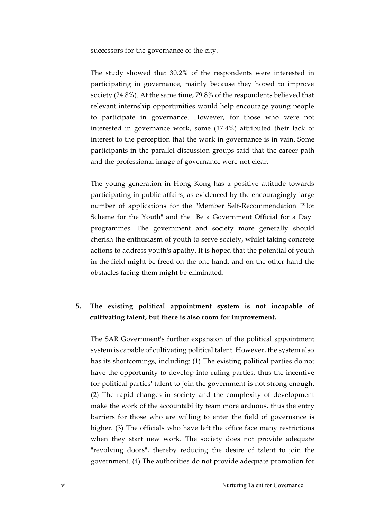successors for the governance of the city.

The study showed that 30.2% of the respondents were interested in participating in governance, mainly because they hoped to improve society (24.8%). At the same time, 79.8% of the respondents believed that relevant internship opportunities would help encourage young people to participate in governance. However, for those who were not interested in governance work, some (17.4%) attributed their lack of interest to the perception that the work in governance is in vain. Some participants in the parallel discussion groups said that the career path and the professional image of governance were not clear.

The young generation in Hong Kong has a positive attitude towards participating in public affairs, as evidenced by the encouragingly large number of applications for the "Member Self-Recommendation Pilot Scheme for the Youth" and the "Be a Government Official for a Day" programmes. The government and society more generally should cherish the enthusiasm of youth to serve society, whilst taking concrete actions to address youth's apathy. It is hoped that the potential of youth in the field might be freed on the one hand, and on the other hand the obstacles facing them might be eliminated.

## **5. The existing political appointment system is not incapable of cultivating talent, but there is also room for improvement.**

The SAR Government's further expansion of the political appointment system is capable of cultivating political talent. However, the system also has its shortcomings, including: (1) The existing political parties do not have the opportunity to develop into ruling parties, thus the incentive for political parties' talent to join the government is not strong enough. (2) The rapid changes in society and the complexity of development make the work of the accountability team more arduous, thus the entry barriers for those who are willing to enter the field of governance is higher. (3) The officials who have left the office face many restrictions when they start new work. The society does not provide adequate "revolving doors", thereby reducing the desire of talent to join the government. (4) The authorities do not provide adequate promotion for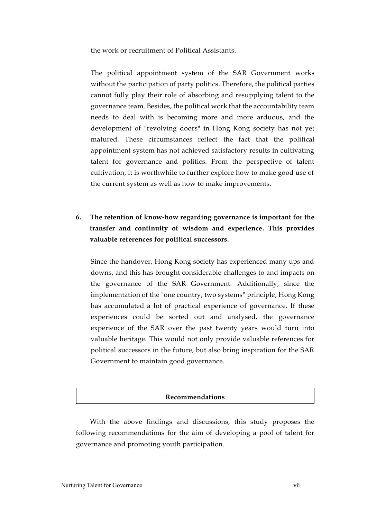the work or recruitment of Political Assistants.

The political appointment system of the SAR Government works without the participation of party politics. Therefore, the political parties cannot fully play their role of absorbing and resupplying talent to the governance team. Besides, the political work that the accountability team needs to deal with is becoming more and more arduous, and the development of "revolving doors" in Hong Kong society has not yet matured. These circumstances reflect the fact that the political appointment system has not achieved satisfactory results in cultivating talent for governance and politics. From the perspective of talent cultivation, it is worthwhile to further explore how to make good use of the current system as well as how to make improvements.

## **6. The retention of know-how regarding governance is important for the transfer and continuity of wisdom and experience. This provides valuable references for political successors.**

Since the handover, Hong Kong society has experienced many ups and downs, and this has brought considerable challenges to and impacts on the governance of the SAR Government. Additionally, since the implementation of the "one country, two systems" principle, Hong Kong has accumulated a lot of practical experience of governance. If these experiences could be sorted out and analysed, the governance experience of the SAR over the past twenty years would turn into valuable heritage. This would not only provide valuable references for political successors in the future, but also bring inspiration for the SAR Government to maintain good governance.

#### **Recommendations**

With the above findings and discussions, this study proposes the following recommendations for the aim of developing a pool of talent for governance and promoting youth participation.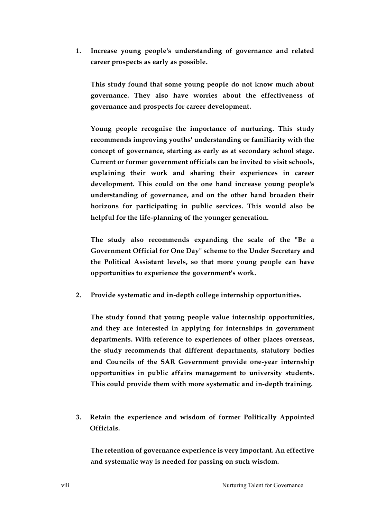**1. Increase young people's understanding of governance and related career prospects as early as possible.**

**This study found that some young people do not know much about governance. They also have worries about the effectiveness of governance and prospects for career development.**

**Young people recognise the importance of nurturing. This study recommends improving youths' understanding or familiarity with the concept of governance, starting as early as at secondary school stage. Current or former government officials can be invited to visit schools, explaining their work and sharing their experiences in career development. This could on the one hand increase young people's understanding of governance, and on the other hand broaden their horizons for participating in public services. This would also be helpful for the life-planning of the younger generation.**

**The study also recommends expanding the scale of the "Be a Government Official for One Day" scheme to the Under Secretary and the Political Assistant levels, so that more young people can have opportunities to experience the government's work.**

**2. Provide systematic and in-depth college internship opportunities.**

**The study found that young people value internship opportunities, and they are interested in applying for internships in government departments. With reference to experiences of other places overseas, the study recommends that different departments, statutory bodies and Councils of the SAR Government provide one-year internship opportunities in public affairs management to university students. This could provide them with more systematic and in-depth training.** 

**3. Retain the experience and wisdom of former Politically Appointed Officials.**

**The retention of governance experience is very important. An effective and systematic way is needed for passing on such wisdom.**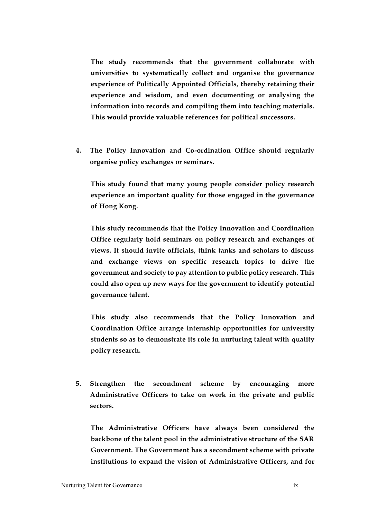**The study recommends that the government collaborate with universities to systematically collect and organise the governance experience of Politically Appointed Officials, thereby retaining their experience and wisdom, and even documenting or analysing the information into records and compiling them into teaching materials. This would provide valuable references for political successors.**

**4. The Policy Innovation and Co-ordination Office should regularly organise policy exchanges or seminars.**

**This study found that many young people consider policy research experience an important quality for those engaged in the governance of Hong Kong.**

**This study recommends that the Policy Innovation and Coordination Office regularly hold seminars on policy research and exchanges of views. It should invite officials, think tanks and scholars to discuss and exchange views on specific research topics to drive the government and society to pay attention to public policy research. This could also open up new ways for the government to identify potential governance talent.** 

**This study also recommends that the Policy Innovation and Coordination Office arrange internship opportunities for university students so as to demonstrate its role in nurturing talent with quality policy research.** 

**5. Strengthen the secondment scheme by encouraging more Administrative Officers to take on work in the private and public sectors.** 

**The Administrative Officers have always been considered the backbone of the talent pool in the administrative structure of the SAR Government. The Government has a secondment scheme with private institutions to expand the vision of Administrative Officers, and for**